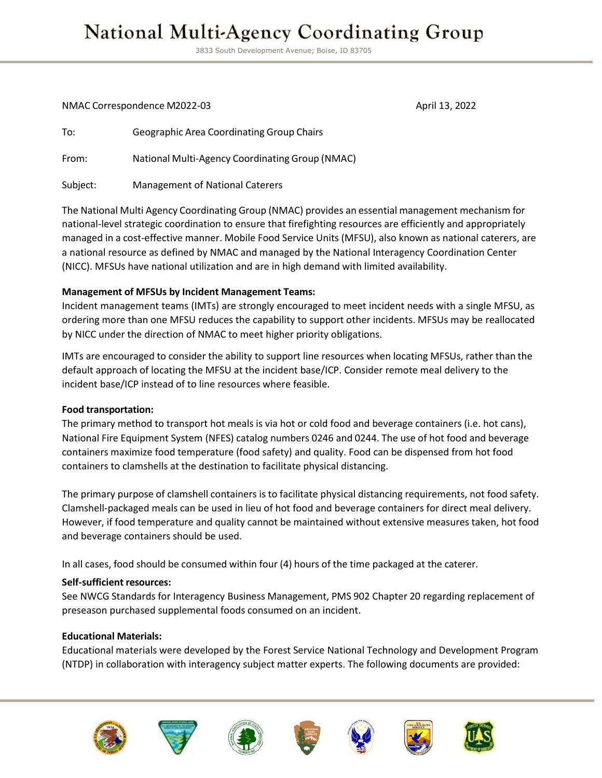## **National Multi-Agency Coordinating Group**

3833 South Development Avenue; Boise, ID 83705

NMAC Correspondence M2022-03 April 13, 2022

To: Geographic Area Coordinating Group Chairs From: National Multi-Agency Coordinating Group (NMAC) Subject: Management of National Caterers

The National Multi Agency Coordinating Group (NMAC) provides an essential management mechanism for national-level strategic coordination to ensure that firefighting resources are efficiently and appropriately managed in a cost-effective manner. Mobile Food Service Units (MFSU), also known as national caterers, are a national resource as defined by NMAC and managed by the National Interagency Coordination Center (NICC). MFSUs have national utilization and are in high demand with limited availability.

#### **Management of MFSUs by Incident Management Teams:**

Incident management teams (IMTs) are strongly encouraged to meet incident needs with a single MFSU, as ordering more than one MFSU reduces the capability to support other incidents. MFSUs may be reallocated by NICC under the direction of NMAC to meet higher priority obligations.

IMTs are encouraged to consider the ability to support line resources when locating MFSUs, rather than the default approach of locating the MFSU at the incident base/ICP. Consider remote meal delivery to the incident base/ICP instead of to line resources where feasible.

#### **Food transportation:**

The primary method to transport hot meals is via hot or cold food and beverage containers (i.e. hot cans), National Fire Equipment System (NFES) catalog numbers 0246 and 0244. The use of hot food and beverage containers maximize food temperature (food safety) and quality. Food can be dispensed from hot food containers to clamshells at the destination to facilitate physical distancing.

The primary purpose of clamshell containers is to facilitate physical distancing requirements, not food safety. Clamshell-packaged meals can be used in lieu of hot food and beverage containers for direct meal delivery. However, if food temperature and quality cannot be maintained without extensive measures taken, hot food and beverage containers should be used.

In all cases, food should be consumed within four (4) hours of the time packaged at the caterer.

#### **Self-sufficient resources:**

See NWCG Standards for Interagency Business Management, PMS 902 Chapter 20 regarding replacement of preseason purchased supplemental foods consumed on an incident.

#### **Educational Materials:**

Educational materials were developed by the Forest Service National Technology and Development Program (NTDP) in collaboration with interagency subject matter experts. The following documents are provided:













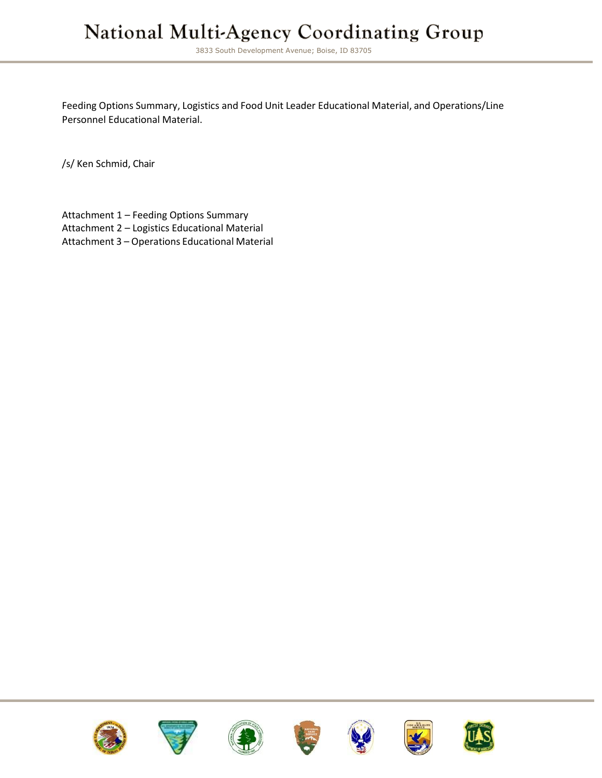## National Multi-Agency Coordinating Group

3833 South Development Avenue; Boise, ID 83705

Feeding Options Summary, Logistics and Food Unit Leader Educational Material, and Operations/Line Personnel Educational Material.

/s/ Ken Schmid, Chair

Attachment 1 – Feeding Options Summary Attachment 2 – Logistics Educational Material Attachment 3 – Operations Educational Material















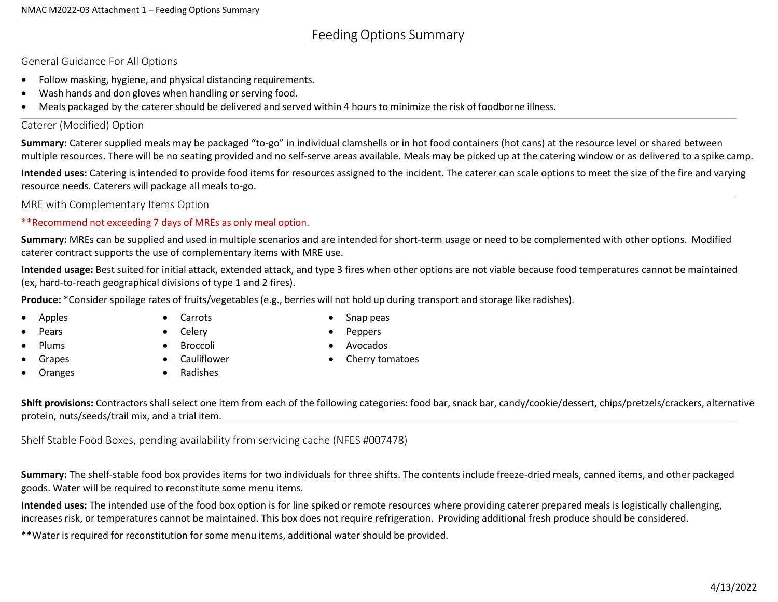## Feeding Options Summary

General Guidance For All Options

- Follow masking, hygiene, and physical distancing requirements.
- Wash hands and don gloves when handling or serving food.
- Meals packaged by the caterer should be delivered and served within 4 hours to minimize the risk of foodborne illness.

#### Caterer (Modified) Option

**Summary:** Caterer supplied meals may be packaged "to-go" in individual clamshells or in hot food containers (hot cans) at the resource level or shared between multiple resources. There will be no seating provided and no self-serve areas available. Meals may be picked up at the catering window or as delivered to a spike camp.

**Intended uses:** Catering is intended to provide food items for resources assigned to the incident. The caterer can scale options to meet the size of the fire and varying resource needs. Caterers will package all meals to-go.

MRE with Complementary Items Option

\*\*Recommend not exceeding 7 days of MREs as only meal option.

**Summary:** MREs can be supplied and used in multiple scenarios and are intended for short-term usage or need to be complemented with other options. Modified caterer contract supports the use of complementary items with MRE use.

**Intended usage:** Best suited for initial attack, extended attack, and type 3 fires when other options are not viable because food temperatures cannot be maintained (ex, hard-to-reach geographical divisions of type 1 and 2 fires).

**Produce:** \*Consider spoilage rates of fruits/vegetables(e.g., berries will not hold up during transport and storage like radishes).

- Apples
- Pears
- Plums
- **Grapes**
- **Oranges**

**Broccoli** 

- Snap peas • Peppers
- Avocados

• Cauliflower

• Carrots **Celery** 

• Cherry tomatoes

• Radishes

**Shift provisions:** Contractors shall select one item from each of the following categories: food bar, snack bar, candy/cookie/dessert, chips/pretzels/crackers, alternative protein, nuts/seeds/trail mix, and a trial item.

Shelf Stable Food Boxes, pending availability from servicing cache (NFES #007478)

**Summary:** The shelf-stable food box provides items for two individuals for three shifts. The contents include freeze-dried meals, canned items, and other packaged goods. Water will be required to reconstitute some menu items.

**Intended uses:** The intended use of the food box option is for line spiked or remote resources where providing caterer prepared meals is logistically challenging, increases risk, or temperatures cannot be maintained. This box does not require refrigeration. Providing additional fresh produce should be considered.

\*\*Water is required for reconstitution for some menu items, additional water should be provided.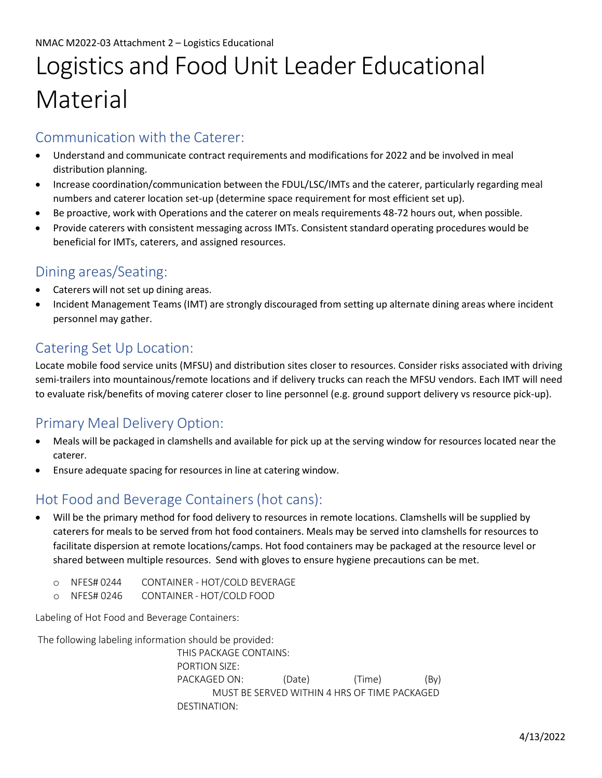# Logistics and Food Unit Leader Educational Material

### Communication with the Caterer:

- Understand and communicate contract requirements and modifications for 2022 and be involved in meal distribution planning.
- Increase coordination/communication between the FDUL/LSC/IMTs and the caterer, particularly regarding meal numbers and caterer location set-up (determine space requirement for most efficient set up).
- Be proactive, work with Operations and the caterer on meals requirements 48-72 hours out, when possible.
- Provide caterers with consistent messaging across IMTs. Consistent standard operating procedures would be beneficial for IMTs, caterers, and assigned resources.

## Dining areas/Seating:

- Caterers will not set up dining areas.
- Incident Management Teams (IMT) are strongly discouraged from setting up alternate dining areas where incident personnel may gather.

## Catering Set Up Location:

Locate mobile food service units (MFSU) and distribution sites closer to resources. Consider risks associated with driving semi-trailers into mountainous/remote locations and if delivery trucks can reach the MFSU vendors. Each IMT will need to evaluate risk/benefits of moving caterer closer to line personnel (e.g. ground support delivery vs resource pick-up).

## Primary Meal Delivery Option:

- Meals will be packaged in clamshells and available for pick up at the serving window for resources located near the caterer.
- Ensure adequate spacing for resources in line at catering window.

## Hot Food and Beverage Containers(hot cans):

- Will be the primary method for food delivery to resources in remote locations. Clamshells will be supplied by caterers for meals to be served from hot food containers. Meals may be served into clamshells for resources to facilitate dispersion at remote locations/camps. Hot food containers may be packaged at the resource level or shared between multiple resources. Send with gloves to ensure hygiene precautions can be met.
	- o NFES# 0244 CONTAINER HOT/COLD BEVERAGE
	- o NFES# 0246 CONTAINER HOT/COLD FOOD

Labeling of Hot Food and Beverage Containers:

The following labeling information should be provided:

THIS PACKAGE CONTAINS: PORTION SIZE: PACKAGED ON: (Date) (Time) (By) MUST BE SERVED WITHIN 4 HRS OF TIME PACKAGED DESTINATION: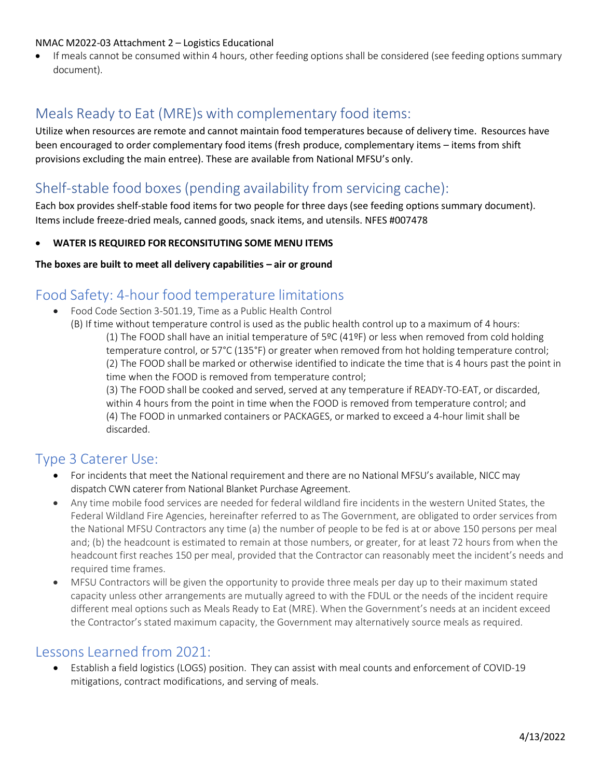#### NMAC M2022-03 Attachment 2 – Logistics Educational

• If meals cannot be consumed within 4 hours, other feeding options shall be considered (see feeding options summary document).

## Meals Ready to Eat (MRE)s with complementary food items:

Utilize when resources are remote and cannot maintain food temperatures because of delivery time. Resources have been encouraged to order complementary food items (fresh produce, complementary items – items from shift provisions excluding the main entree). These are available from National MFSU's only.

## Shelf-stable food boxes(pending availability from servicing cache):

Each box provides shelf-stable food items for two people for three days (see feeding options summary document). Items include freeze-dried meals, canned goods, snack items, and utensils. NFES #007478

• **WATER IS REQUIRED FOR RECONSITUTING SOME MENU ITEMS** 

#### **The boxes are built to meet all delivery capabilities – air or ground**

#### Food Safety: 4-hour food temperature limitations

- Food Code Section 3-501.19, Time as a Public Health Control
	- (B) If time without temperature control is used as the public health control up to a maximum of 4 hours: (1) The FOOD shall have an initial temperature of 5ºC (41ºF) or less when removed from cold holding temperature control, or 57°C (135°F) or greater when removed from hot holding temperature control; (2) The FOOD shall be marked or otherwise identified to indicate the time that is 4 hours past the point in time when the FOOD is removed from temperature control;

(3) The FOOD shall be cooked and served, served at any temperature if READY-TO-EAT, or discarded, within 4 hours from the point in time when the FOOD is removed from temperature control; and (4) The FOOD in unmarked containers or PACKAGES, or marked to exceed a 4-hour limit shall be discarded.

#### Type 3 Caterer Use:

- For incidents that meet the National requirement and there are no National MFSU's available, NICC may dispatch CWN caterer from National Blanket Purchase Agreement.
- Any time mobile food services are needed for federal wildland fire incidents in the western United States, the Federal Wildland Fire Agencies, hereinafter referred to as The Government, are obligated to order services from the National MFSU Contractors any time (a) the number of people to be fed is at or above 150 persons per meal and; (b) the headcount is estimated to remain at those numbers, or greater, for at least 72 hours from when the headcount first reaches 150 per meal, provided that the Contractor can reasonably meet the incident's needs and required time frames.
- MFSU Contractors will be given the opportunity to provide three meals per day up to their maximum stated capacity unless other arrangements are mutually agreed to with the FDUL or the needs of the incident require different meal options such as Meals Ready to Eat (MRE). When the Government's needs at an incident exceed the Contractor's stated maximum capacity, the Government may alternatively source meals as required.

#### Lessons Learned from 2021:

• Establish a field logistics (LOGS) position. They can assist with meal counts and enforcement of COVID-19 mitigations, contract modifications, and serving of meals.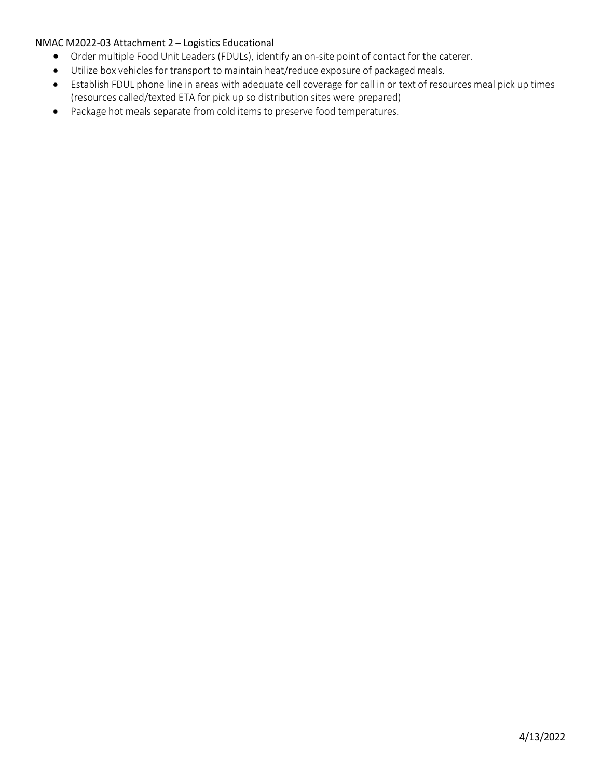#### NMAC M2022-03 Attachment 2 – Logistics Educational

- Order multiple Food Unit Leaders (FDULs), identify an on-site point of contact for the caterer.
	- Utilize box vehicles for transport to maintain heat/reduce exposure of packaged meals.
	- Establish FDUL phone line in areas with adequate cell coverage for call in or text of resources meal pick up times (resources called/texted ETA for pick up so distribution sites were prepared)
	- Package hot meals separate from cold items to preserve food temperatures.